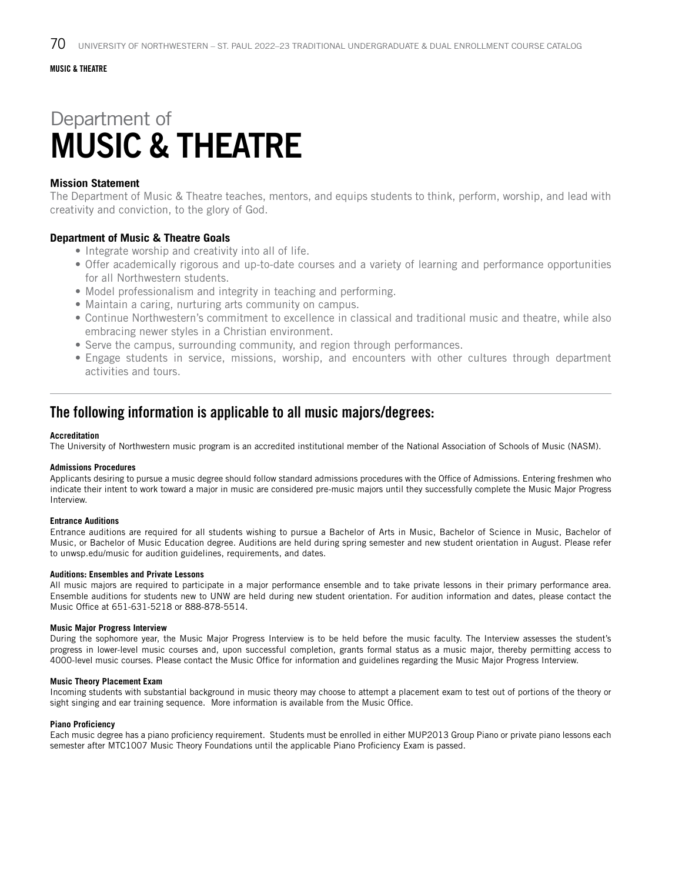# Department of MUSIC & THEATRE

#### **Mission Statement**

The Department of Music & Theatre teaches, mentors, and equips students to think, perform, worship, and lead with creativity and conviction, to the glory of God.

#### **Department of Music & Theatre Goals**

- Integrate worship and creativity into all of life.
- Offer academically rigorous and up-to-date courses and a variety of learning and performance opportunities for all Northwestern students.
- Model professionalism and integrity in teaching and performing.
- Maintain a caring, nurturing arts community on campus.
- Continue Northwestern's commitment to excellence in classical and traditional music and theatre, while also embracing newer styles in a Christian environment.
- Serve the campus, surrounding community, and region through performances.
- Engage students in service, missions, worship, and encounters with other cultures through department activities and tours.

### The following information is applicable to all music majors/degrees:

#### **Accreditation**

The University of Northwestern music program is an accredited institutional member of the National Association of Schools of Music (NASM).

#### **Admissions Procedures**

Applicants desiring to pursue a music degree should follow standard admissions procedures with the Office of Admissions. Entering freshmen who indicate their intent to work toward a major in music are considered pre-music majors until they successfully complete the Music Major Progress Interview.

#### **Entrance Auditions**

Entrance auditions are required for all students wishing to pursue a Bachelor of Arts in Music, Bachelor of Science in Music, Bachelor of Music, or Bachelor of Music Education degree. Auditions are held during spring semester and new student orientation in August. Please refer to unwsp.edu/music for audition guidelines, requirements, and dates.

#### **Auditions: Ensembles and Private Lessons**

All music majors are required to participate in a major performance ensemble and to take private lessons in their primary performance area. Ensemble auditions for students new to UNW are held during new student orientation. For audition information and dates, please contact the Music Office at 651-631-5218 or 888-878-5514.

#### **Music Major Progress Interview**

During the sophomore year, the Music Major Progress Interview is to be held before the music faculty. The Interview assesses the student's progress in lower-level music courses and, upon successful completion, grants formal status as a music major, thereby permitting access to 4000-level music courses. Please contact the Music Office for information and guidelines regarding the Music Major Progress Interview.

#### **Music Theory Placement Exam**

Incoming students with substantial background in music theory may choose to attempt a placement exam to test out of portions of the theory or sight singing and ear training sequence. More information is available from the Music Office.

#### **Piano Proficiency**

Each music degree has a piano proficiency requirement. Students must be enrolled in either MUP2013 Group Piano or private piano lessons each semester after MTC1007 Music Theory Foundations until the applicable Piano Proficiency Exam is passed.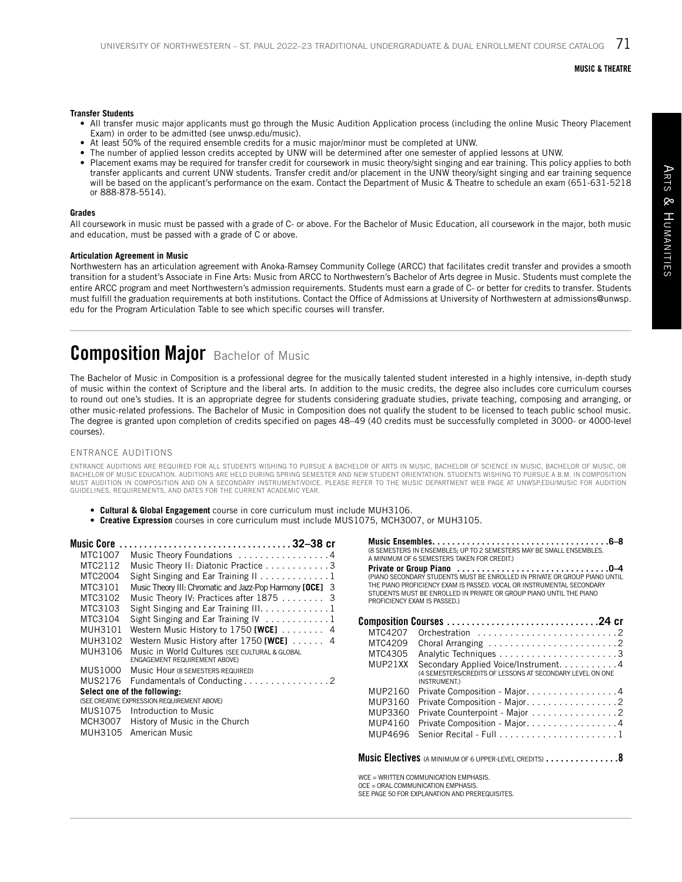#### **Transfer Students**

- All transfer music major applicants must go through the Music Audition Application process (including the online Music Theory Placement Exam) in order to be admitted (see unwsp.edu/music).
- At least 50% of the required ensemble credits for a music major/minor must be completed at UNW.
- The number of applied lesson credits accepted by UNW will be determined after one semester of applied lessons at UNW.<br>• Placement exams may be required for transfer credit for coursework in music theory/sight singing and
- Placement exams may be required for transfer credit for coursework in music theory/sight singing and ear training. This policy applies to both transfer applicants and current UNW students. Transfer credit and/or placement in the UNW theory/sight singing and ear training sequence will be based on the applicant's performance on the exam. Contact the Department of Music & Theatre to schedule an exam (651-631-5218 or 888-878-5514).

#### **Grades**

All coursework in music must be passed with a grade of C- or above. For the Bachelor of Music Education, all coursework in the major, both music and education, must be passed with a grade of C or above.

#### **Articulation Agreement in Music**

Northwestern has an articulation agreement with Anoka-Ramsey Community College (ARCC) that facilitates credit transfer and provides a smooth transition for a student's Associate in Fine Arts: Music from ARCC to Northwestern's Bachelor of Arts degree in Music. Students must complete the entire ARCC program and meet Northwestern's admission requirements. Students must earn a grade of C- or better for credits to transfer. Students must fulfill the graduation requirements at both institutions. Contact the Office of Admissions at University of Northwestern at admissions@unwsp. edu for the Program Articulation Table to see which specific courses will transfer.

## **Composition Major** Bachelor of Music

The Bachelor of Music in Composition is a professional degree for the musically talented student interested in a highly intensive, in-depth study of music within the context of Scripture and the liberal arts. In addition to the music credits, the degree also includes core curriculum courses to round out one's studies. It is an appropriate degree for students considering graduate studies, private teaching, composing and arranging, or other music-related professions. The Bachelor of Music in Composition does not qualify the student to be licensed to teach public school music. The degree is granted upon completion of credits specified on pages 48–49 (40 credits must be successfully completed in 3000- or 4000-level courses).

#### ENTRANCE AUDITIONS

ENTRANCE AUDITIONS ARE REQUIRED FOR ALL STUDENTS WISHING TO PURSUE A BACHELOR OF ARTS IN MUSIC, BACHELOR OF SCIENCE IN MUSIC, BACHELOR OF MUSIC, OR<br>BACHELOR OF MUSIC EDUCATION. AUDITIONS ARE HELD DURING SPRING SEMESTER AND MUST AUDITION IN COMPOSITION AND ON A SECONDARY INSTRUMENT/VOICE. PLEASE REFER TO THE MUSIC DEPARTMENT WEB PAGE AT UNWSP.EDU/MUSIC FOR AUDITION GUIDELINES, REQUIREMENTS, AND DATES FOR THE CURRENT ACADEMIC YEAR.

- **• Cultural & Global Engagement** course in core curriculum must include MUH3106.
- **• Creative Expression** courses in core curriculum must include MUS1075, MCH3007, or MUH3105.

| Music Core                   |                                                                                 |  |
|------------------------------|---------------------------------------------------------------------------------|--|
| MTC1007                      | Music Theory Foundations 4                                                      |  |
| MTC2112                      | Music Theory II: Diatonic Practice 3                                            |  |
| MTC2004                      | Sight Singing and Ear Training II 1                                             |  |
| MTC3101                      | Music Theory III: Chromatic and Jazz-Pop Harmony [OCE] 3                        |  |
| MTC3102                      | Music Theory IV: Practices after 1875  3                                        |  |
| MTC3103                      | Sight Singing and Ear Training III. 1                                           |  |
| MTC3104                      | Sight Singing and Ear Training IV 1                                             |  |
| MUH3101                      | Western Music History to 1750 [WCE] $\dots \dots$ 4                             |  |
| MUH3102                      | Western Music History after 1750 [WCE] $\ldots$ . 4                             |  |
| MUH3106                      | Music in World Cultures (SEE CULTURAL & GLOBAL<br>ENGAGEMENT REQUIREMENT ABOVE) |  |
| MUS1000                      | Music Hour (8 SEMESTERS REQUIRED)                                               |  |
| MUS2176                      | Fundamentals of Conducting 2                                                    |  |
| Select one of the following: |                                                                                 |  |
|                              | (SEE CREATIVE EXPRESSION REQUIREMENT ABOVE)                                     |  |
|                              | MUS1075 Introduction to Music                                                   |  |
| MCH3007                      | History of Music in the Church                                                  |  |
| MUH3105                      | American Music                                                                  |  |

|                              | (8 SEMESTERS IN ENSEMBLES; UP TO 2 SEMESTERS MAY BE SMALL ENSEMBLES.<br>A MINIMUM OF 6 SEMESTERS TAKEN FOR CREDIT.)                                                                                                        |
|------------------------------|----------------------------------------------------------------------------------------------------------------------------------------------------------------------------------------------------------------------------|
| PROFICIENCY EXAM IS PASSED.) | (PIANO SECONDARY STUDENTS MUST BE ENROLLED IN PRIVATE OR GROUP PIANO UNTIL<br>THE PIANO PROFICIENCY EXAM IS PASSED, VOCAL OR INSTRUMENTAL SECONDARY<br>STUDENTS MUST BE ENROLLED IN PRIVATE OR GROUP PIANO UNTIL THE PIANO |
|                              |                                                                                                                                                                                                                            |
| MTC4207                      | Orchestration 2                                                                                                                                                                                                            |
| MTC4209                      |                                                                                                                                                                                                                            |
| MTC4305                      |                                                                                                                                                                                                                            |
| MUP21XX                      | Secondary Applied Voice/Instrument. 4<br>(4 SEMESTERS/CREDITS OF LESSONS AT SECONDARY LEVEL ON ONE<br>INSTRUMENT.)                                                                                                         |
| MUP2160                      | Private Composition - Major4                                                                                                                                                                                               |
| MUP3160                      | Private Composition - Major2                                                                                                                                                                                               |
| MUP3360                      | Private Counterpoint - Major 2                                                                                                                                                                                             |
| MUP4160                      | Private Composition - Major. 4                                                                                                                                                                                             |
| MUP4696                      |                                                                                                                                                                                                                            |
|                              | <b>Music Electives</b> (a minimum of 6 upper-level credits) $\ldots \ldots \ldots \ldots \ldots 8$                                                                                                                         |
|                              | WCE = WRITTEN COMMUNICATION EMPHASIS.<br>OCE - ORAL COMMUNICATION EMPHASIS                                                                                                                                                 |

OCE = ORAL COMMUNICATION EMPHASIS. SEE PAGE 50 FOR EXPLANATION AND PREREQUISITES.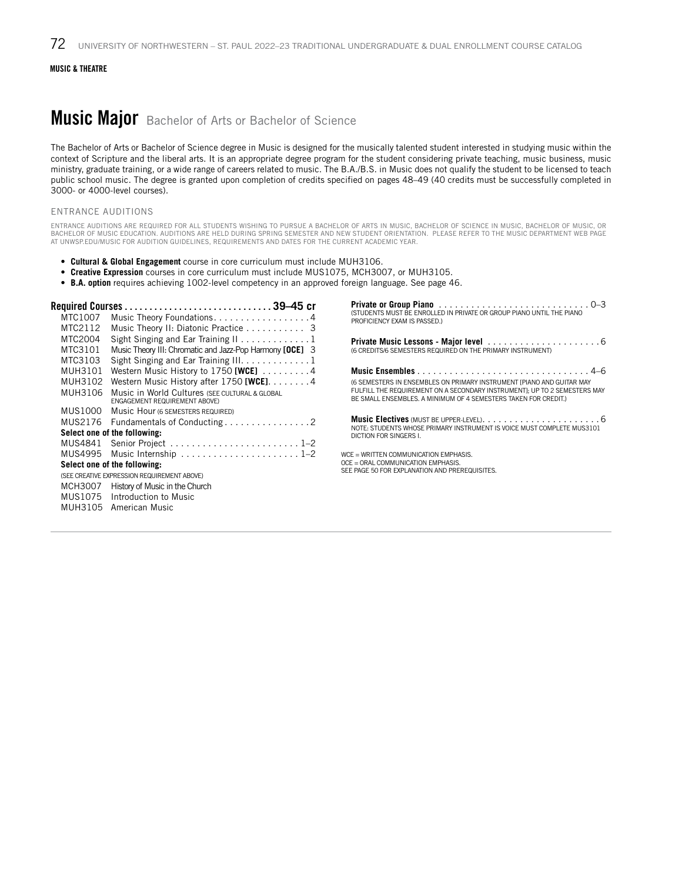### **Music Major** Bachelor of Arts or Bachelor of Science

The Bachelor of Arts or Bachelor of Science degree in Music is designed for the musically talented student interested in studying music within the context of Scripture and the liberal arts. It is an appropriate degree program for the student considering private teaching, music business, music ministry, graduate training, or a wide range of careers related to music. The B.A./B.S. in Music does not qualify the student to be licensed to teach public school music. The degree is granted upon completion of credits specified on pages 48–49 (40 credits must be successfully completed in 3000- or 4000-level courses).

#### ENTRANCE AUDITIONS

ENTRANCE AUDITIONS ARE REQUIRED FOR ALL STUDENTS WISHING TO PURSUE A BACHELOR OF ARTS IN MUSIC, BACHELOR OF SCIENCE IN MUSIC, BACHELOR OF MUSIC, OR BACHELOR OF MUSIC EDUCATION. AUDITIONS ARE HELD DURING SPRING SEMESTER AND NEW STUDENT ORIENTATION. PLEASE REFER TO THE MUSIC DEPARTMENT WEB PAGE AT UNWSP.EDU/MUSIC FOR AUDITION GUIDELINES, REQUIREMENTS AND DATES FOR THE CURRENT ACADEMIC YEAR.

- **• Cultural & Global Engagement** course in core curriculum must include MUH3106.
- **Creative Expression** courses in core curriculum must include MUS1075, MCH3007, or MUH3105.
- **• B.A. option** requires achieving 1002-level competency in an approved foreign language. See page 46.

| MTC1007                      | Music Theory Foundations4                                                              |  |
|------------------------------|----------------------------------------------------------------------------------------|--|
| MTC2112                      | Music Theory II: Diatonic Practice 3                                                   |  |
| MTC2004                      | Sight Singing and Ear Training II 1                                                    |  |
| MTC3101                      | Music Theory III: Chromatic and Jazz-Pop Harmony [OCE] 3                               |  |
| MTC3103                      | Sight Singing and Ear Training III. 1                                                  |  |
| MUH3101                      | Western Music History to 1750 [WCE] $\dots\dots\dots$                                  |  |
| MUH3102                      | Western Music History after $1750$ [WCE]. $\dots \dots 4$                              |  |
| MUH3106                      | Music in World Cultures (SEE CULTURAL & GLOBAL<br><b>ENGAGEMENT REQUIREMENT ABOVE)</b> |  |
| MUS1000                      | Music Hour (6 SEMESTERS REQUIRED)                                                      |  |
| MUS2176                      | Fundamentals of Conducting 2                                                           |  |
|                              | Select one of the following:                                                           |  |
| MUS4841                      |                                                                                        |  |
| MUS4995                      |                                                                                        |  |
| Select one of the following: |                                                                                        |  |
|                              | (SEE CREATIVE EXPRESSION REQUIREMENT ABOVE)                                            |  |
| MCH3007                      | History of Music in the Church                                                         |  |
| MUS1075                      | Introduction to Music                                                                  |  |
| MUH3105                      | American Music                                                                         |  |

**Private or Group Piano**. 0–3 (STUDENTS MUST BE ENROLLED IN PRIVATE OR GROUP PIANO UNTIL THE PIANO PROFICIENCY EXAM IS PASSED.)

**Private Music Lessons - Major level**. 6 (6 CREDITS/6 SEMESTERS REQUIRED ON THE PRIMARY INSTRUMENT)

**Music Ensembles**. 4–6 (6 SEMESTERS IN ENSEMBLES ON PRIMARY INSTRUMENT [PIANO AND GUITAR MAY FULFILL THE REQUIREMENT ON A SECONDARY INSTRUMENT]; UP TO 2 SEMESTERS MAY BE SMALL ENSEMBLES. A MINIMUM OF 4 SEMESTERS TAKEN FOR CREDIT.)

**Music Electives** (MUST BE UPPER-LEVEL). . 6 NOTE: STUDENTS WHOSE PRIMARY INSTRUMENT IS VOICE MUST COMPLETE MUS3101 DICTION FOR SINGERS I.

WCE - WRITTEN COMMUNICATION EMPHASIS. OCE = ORAL COMMUNICATION EMPHASIS. SEE PAGE 50 FOR EXPLANATION AND PREREQUISITES.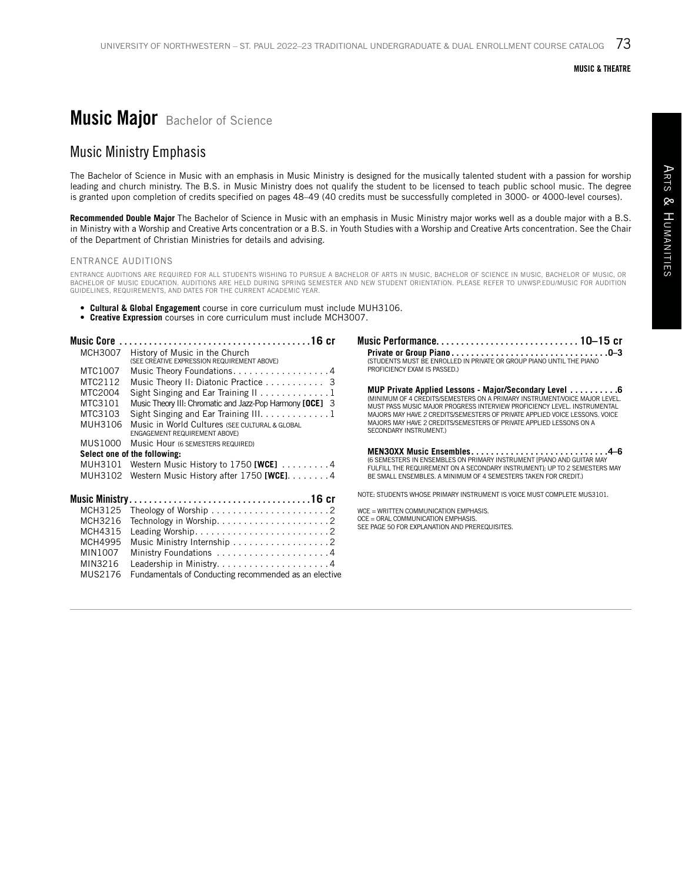## **Music Major** Bachelor of Science

### Music Ministry Emphasis

The Bachelor of Science in Music with an emphasis in Music Ministry is designed for the musically talented student with a passion for worship leading and church ministry. The B.S. in Music Ministry does not qualify the student to be licensed to teach public school music. The degree is granted upon completion of credits specified on pages 48–49 (40 credits must be successfully completed in 3000- or 4000-level courses).

**Recommended Double Major** The Bachelor of Science in Music with an emphasis in Music Ministry major works well as a double major with a B.S. in Ministry with a Worship and Creative Arts concentration or a B.S. in Youth Studies with a Worship and Creative Arts concentration. See the Chair of the Department of Christian Ministries for details and advising.

#### ENTRANCE AUDITIONS

ENTRANCE AUDITIONS ARE REQUIRED FOR ALL STUDENTS WISHING TO PURSUE A BACHELOR OF ARTS IN MUSIC, BACHELOR OF SCIENCE IN MUSIC, BACHELOR OF MUSIC, OR<br>BACHELOR OF MUSIC EDUCATION. AUDITIONS ARE HELD DURING SPRING SEMESTER AND

- **• Cultural & Global Engagement** course in core curriculum must include MUH3106.
- **• Creative Expression** courses in core curriculum must include MCH3007.

| Music Core |                                                                                 |
|------------|---------------------------------------------------------------------------------|
| MCH3007    | History of Music in the Church<br>(SEE CREATIVE EXPRESSION REQUIREMENT ABOVE)   |
| MTC1007    | Music Theory Foundations4                                                       |
| MTC2112    | Music Theory II: Diatonic Practice 3                                            |
| MTC2004    | Sight Singing and Ear Training $11, 1, 1, 1, 1, 1, 1, 1$                        |
| MTC3101    | Music Theory III: Chromatic and Jazz-Pop Harmony [OCE] 3                        |
| MTC3103    | Sight Singing and Ear Training III. 1                                           |
| MUH3106    | Music in World Cultures (SEE CULTURAL & GLOBAL<br>ENGAGEMENT REQUIREMENT ABOVE) |
| MUS1000    | Music Hour (6 SEMESTERS REQUIRED)                                               |
|            | Select one of the following:                                                    |
| MUH3101    | Western Music History to 1750 [WCE] $\dots \dots$                               |
| MUH3102    | Western Music History after $1750$ [WCE]. 4                                     |
|            |                                                                                 |
| MCH3125    |                                                                                 |
| MCH3216    |                                                                                 |
| MCH4315    |                                                                                 |
| MCH4995    | Music Ministry Internship 2                                                     |
| MIN1007    | Ministry Foundations 4                                                          |
| MIN3216    |                                                                                 |
| MUS2176    | Fundamentals of Conducting recommended as an elective                           |
|            |                                                                                 |

Music Performance. . . . . . . . . . . . . . . . . . . . . . . . . . . . . **10–15 cr Private or Group Piano. . 0–3** (STUDENTS MUST BE ENROLLED IN PRIVATE OR GROUP PIANO UNTIL THE PIANO PROFICIENCY EXAM IS PASSED.)

**MUP Private Applied Lessons - Major/Secondary Level . . . . . . . . . . 6**<br>(MINIMUM OF 4 CREDITS/SEMESTERS ON A PRIMARY INSTRUMENT/VOICE MAJOR LEVEL. MUST PASS MUSIC MAJOR PROGRESS INTERVIEW PROFICIENCY LEVEL. INSTRUMENTAL MAJORS MAY HAVE 2 CREDITS/SEMESTERS OF PRIVATE APPLIED VOICE LESSONS. VOICE MAJORS MAY HAVE 2 CREDITS/SEMESTERS OF PRIVATE APPLIED LESSONS ON A SECONDARY INSTRUMENT.)

**MEN30XX Music Ensembles. . 4–6** (6 SEMESTERS IN ENSEMBLES ON PRIMARY INSTRUMENT [PIANO AND GUITAR MAY FULFILL THE REQUIREMENT ON A SECONDARY INSTRUMENT]; UP TO 2 SEMESTERS MAY BE SMALL ENSEMBLES. A MINIMUM OF 4 SEMESTERS TAKEN FOR CREDIT.)

NOTE: STUDENTS WHOSE PRIMARY INSTRUMENT IS VOICE MUST COMPLETE MUS3101.

WCE = WRITTEN COMMUNICATION EMPHASIS. OCE = ORAL COMMUNICATION EMPHASIS.

SEE PAGE 50 FOR EXPLANATION AND PREREQUISITES.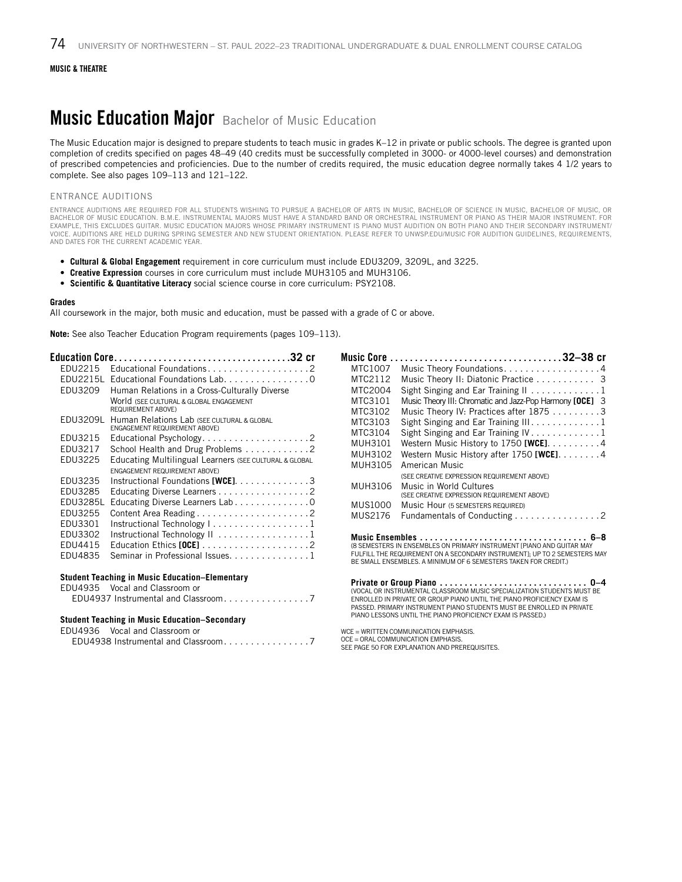### **Music Education Major** Bachelor of Music Education

The Music Education major is designed to prepare students to teach music in grades K–12 in private or public schools. The degree is granted upon completion of credits specified on pages 48–49 (40 credits must be successfully completed in 3000- or 4000-level courses) and demonstration of prescribed competencies and proficiencies. Due to the number of credits required, the music education degree normally takes 4 1/2 years to complete. See also pages 109–113 and 121–122.

#### ENTRANCE AUDITIONS

ENTRANCE AUDITIONS ARE REQUIRED FOR ALL STUDENTS WISHING TO PURSUE A BACHELOR OF ARTS IN MUSIC, BACHELOR OF SCIENCE IN MUSIC, BACHELOR OF MUSIC, OR BACHELOR OF MUSIC EDUCATION. B.M.E. INSTRUMENTAL MAJORS MUST HAVE A STANDARD BAND OR ORCHESTRAL INSTRUMENT OR PIANO AS THEIR MAJOR INSTRUMENT. FOR EXAMPLE, THIS EXCLUDES GUITAR. MUSIC EDUCATION MAJORS WHOSE PRIMARY INSTRUMENT IS PIANO MUST AUDITION ON BOTH PIANO AND THEIR SECONDARY INSTRUMENT/ VOICE. AUDITIONS ARE HELD DURING SPRING SEMESTER AND NEW STUDENT ORIENTATION. PLEASE REFER TO UNWSP.EDU/MUSIC FOR AUDITION GUIDELINES, REQUIREMENTS, AND DATES FOR THE CURRENT ACADEMIC YEAR.

- **Cultural & Global Engagement** requirement in core curriculum must include EDU3209, 3209L, and 3225.
- **Creative Expression** courses in core curriculum must include MUH3105 and MUH3106.
- **Scientific & Quantitative Literacy** social science course in core curriculum: PSY2108.

#### **Grades**

All coursework in the major, both music and education, must be passed with a grade of C or above.

**Note:** See also Teacher Education Program requirements (pages 109–113).

|                 |                                                                                             |         | Music Core 32-38 cr                                                       |
|-----------------|---------------------------------------------------------------------------------------------|---------|---------------------------------------------------------------------------|
| EDU2215         |                                                                                             | MTC1007 | Music Theory Foundations. 4                                               |
|                 | EDU2215L Educational Foundations Lab. 0                                                     | MTC2112 | Music Theory II: Diatonic Practice 3                                      |
| EDU3209         | Human Relations in a Cross-Culturally Diverse                                               | MTC2004 | Sight Singing and Ear Training $1, \ldots, \ldots, \ldots, 1$             |
|                 | World (SEE CULTURAL & GLOBAL ENGAGEMENT                                                     | MTC3101 | Music Theory III: Chromatic and Jazz-Pop Harmony [OCE] 3                  |
|                 | <b>REQUIREMENT ABOVE)</b>                                                                   | MTC3102 | Music Theory IV: Practices after 1875 3                                   |
| EDU3209L        | Human Relations Lab (SEE CULTURAL & GLOBAL<br>ENGAGEMENT REQUIREMENT ABOVE)                 | MTC3103 | Sight Singing and Ear Training $III \dots \dots \dots \dots 1$            |
| EDU3215         | Educational Psychology2                                                                     | MTC3104 | Sight Singing and Ear Training $IV \ldots \ldots \ldots \ldots 1$         |
| EDU3217         |                                                                                             | MUH3101 | Western Music History to 1750 [WCE]. $\dots \dots \dots 4$                |
| EDU3225         | School Health and Drug Problems 2<br>Educating Multilingual Learners (SEE CULTURAL & GLOBAL | MUH3102 | Western Music History after 1750 [WCE]. 4                                 |
|                 | <b>ENGAGEMENT REQUIREMENT ABOVE)</b>                                                        | MUH3105 | American Music                                                            |
| EDU3235         | Instructional Foundations [WCE]. $\ldots \ldots \ldots \ldots$                              |         | (SEE CREATIVE EXPRESSION REQUIREMENT ABOVE)                               |
| EDU3285         | Educating Diverse Learners 2                                                                | MUH3106 | Music in World Cultures                                                   |
| <b>EDU3285L</b> | Educating Diverse Learners Lab 0                                                            |         | (SEE CREATIVE EXPRESSION REQUIREMENT ABOVE)                               |
| EDU3255         |                                                                                             | MUS1000 | Music Hour (5 SEMESTERS REQUIRED)                                         |
| EDU3301         | Instructional Technology   1                                                                | MUS2176 | Fundamentals of Conducting 2                                              |
| EDU3302         | Instructional Technology II 1                                                               |         |                                                                           |
| EDU4415         | Education Ethics [OCE] $\ldots \ldots \ldots \ldots \ldots \ldots$                          |         | (8 SEMESTERS IN ENSEMBLES ON PRIMARY INSTRUMENT IPIANO AND GUITAR MAY     |
| EDU4835         | Seminar in Professional Issues. 1                                                           |         | FULFILL THE REQUIREMENT ON A SECONDARY INSTRUMENT]; UP TO 2 SEMESTERS MAY |
|                 |                                                                                             |         | BE SMALL ENSEMBLES. A MINIMUM OF 6 SEMESTERS TAKEN FOR CREDIT.)           |
|                 | <b>Student Teaching in Music Education-Elementary</b>                                       |         |                                                                           |
|                 | EDU4935 Vocal and Classroom or                                                              |         |                                                                           |
|                 | EDU4937 Instrumental and Classroom7                                                         |         | ENROLLED IN PRIVATE OR GROUP PIANO UNTIL THE PIANO PROFICIENCY EXAM IS    |
|                 |                                                                                             |         | PASSED. PRIMARY INSTRUMENT PIANO STUDENTS MUST BE ENROLLED IN PRIVATE     |
|                 | <b>Student Teaching in Music Education-Secondary</b>                                        |         | PIANO LESSONS UNTIL THE PIANO PROFICIENCY EXAM IS PASSED.)                |
|                 | EDU4936 Vocal and Classroom or                                                              |         | WCE = WRITTEN COMMUNICATION EMPHASIS.                                     |
|                 | EDU4938 Instrumental and Classroom7                                                         |         | OCE = ORAL COMMUNICATION EMPHASIS.                                        |

OCE = ORAL COMMUNICATION EMPHASIS. SEE PAGE 50 FOR EXPLANATION AND PREREQUISITES.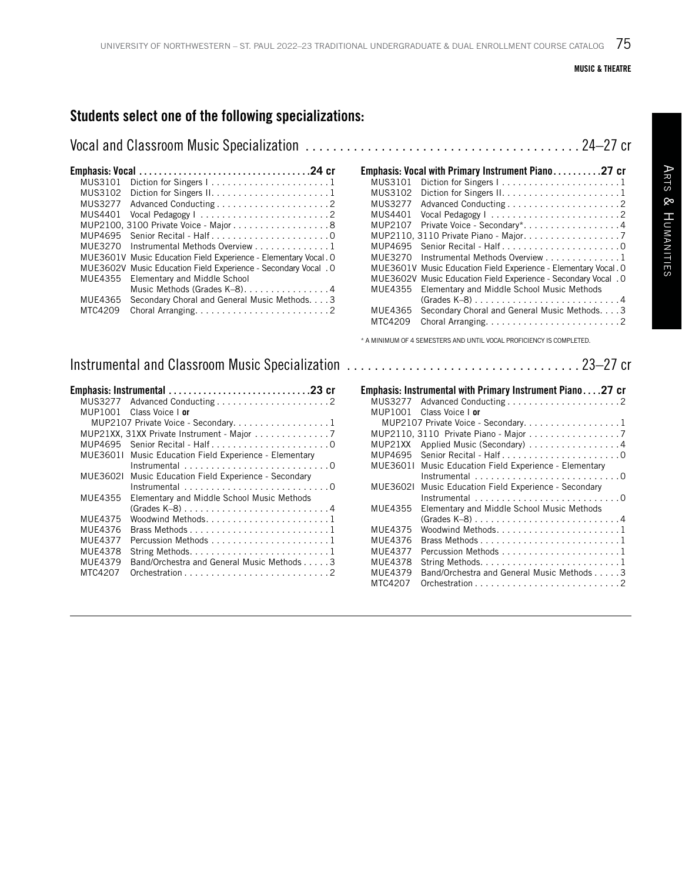### Students select one of the following specializations:

|--|--|

| MUS3101        |                                                                    |
|----------------|--------------------------------------------------------------------|
| MUS3102        | Diction for Singers $1, \ldots, \ldots, \ldots, \ldots, \ldots, 1$ |
| <b>MUS3277</b> |                                                                    |
| MUS4401        |                                                                    |
|                | MUP2100, 3100 Private Voice - Major 8                              |
| MUP4695        |                                                                    |
| MUF3270        | Instrumental Methods Overview 1                                    |
| MUE3601V       | Music Education Field Experience - Elementary Vocal. O             |
| MUE3602V       | Music Education Field Experience - Secondary Vocal . O             |
| MUE4355        | Elementary and Middle School                                       |
|                | Music Methods (Grades K-8)4                                        |
| MUE4365        | Secondary Choral and General Music Methods. 3                      |
| MTC4209        |                                                                    |
|                |                                                                    |

### Instrumental and Classroom Music Specialization . . . . . . . . . . . . . . . . . . . . . . . . . . . . . . . . . 23–27 cr

|          | MUS3277 Advanced Conducting2                                           |
|----------|------------------------------------------------------------------------|
| MUP1001  | Class Voice Lor                                                        |
|          | MUP2107 Private Voice - Secondary. 1                                   |
|          | MUP21XX, 31XX Private Instrument - Major 7                             |
|          |                                                                        |
|          | MUE36011 Music Education Field Experience - Elementary                 |
|          | Instrumental $\ldots \ldots \ldots \ldots \ldots \ldots \ldots \ldots$ |
| MUE36021 | Music Education Field Experience - Secondary                           |
|          |                                                                        |
| MUF4355  | Elementary and Middle School Music Methods                             |
|          | $(Grades K-8)$ 4                                                       |
| MUE4375  |                                                                        |
| MUE4376  |                                                                        |
| MUE4377  |                                                                        |
| MUE4378  |                                                                        |
| MUE4379  | Band/Orchestra and General Music Methods 3                             |
| MTC4207  |                                                                        |
|          |                                                                        |

|          | Emphasis: Vocal with Primary Instrument Piano27 cr     |
|----------|--------------------------------------------------------|
| MUS3101  |                                                        |
| MUS3102  |                                                        |
| MUS3277  |                                                        |
| MUS4401  | Vocal Pedagogy   2                                     |
| MUP2107  | Private Voice - Secondary*4                            |
|          | MUP2110, 3110 Private Piano - Major. 7                 |
| MUP4695  |                                                        |
| MUF3270  | Instrumental Methods Overview 1                        |
| MUE3601V | Music Education Field Experience - Elementary Vocal. O |
| MUE3602V | Music Education Field Experience - Secondary Vocal . O |
| MUE4355  | Elementary and Middle School Music Methods             |
|          | $(Grades K-8)$ 4                                       |
| MUE4365  | Secondary Choral and General Music Methods. 3          |
| MTC4209  |                                                        |

\* A MINIMUM OF 4 SEMESTERS AND UNTIL VOCAL PROFICIENCY IS COMPLETED.

|          | Emphasis: Instrumental with Primary Instrument Piano27 cr              |
|----------|------------------------------------------------------------------------|
|          |                                                                        |
| MUP1001  | Class Voice I or                                                       |
|          | MUP2107 Private Voice - Secondary. 1                                   |
|          | MUP2110, 3110 Private Piano - Major 7                                  |
| MUP21XX  | Applied Music (Secondary) 4                                            |
| MUP4695  |                                                                        |
| MUE36011 | Music Education Field Experience - Elementary                          |
|          | Instrumental $\ldots \ldots \ldots \ldots \ldots \ldots \ldots \ldots$ |
| MUE36021 | Music Education Field Experience - Secondary                           |
|          |                                                                        |
| MUE4355  | Elementary and Middle School Music Methods                             |
|          | $(Grades K-8)$ 4                                                       |
| MUE4375  |                                                                        |
| MUE4376  |                                                                        |
| MUE4377  |                                                                        |
| MUE4378  |                                                                        |
| MUE4379  | Band/Orchestra and General Music Methods 3                             |
| MTC4207  |                                                                        |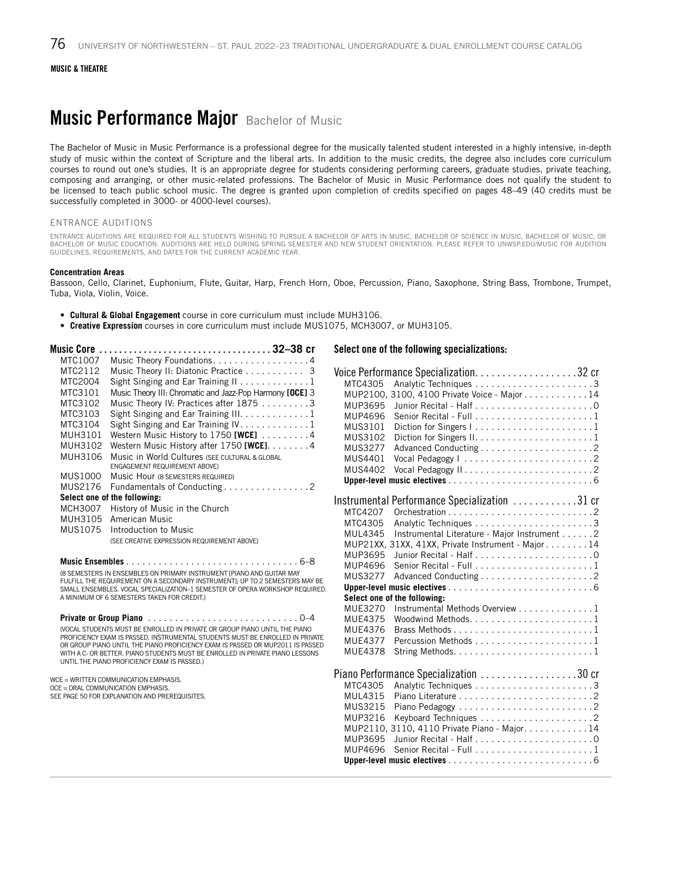### **Music Performance Major** Bachelor of Music

The Bachelor of Music in Music Performance is a professional degree for the musically talented student interested in a highly intensive, in-depth study of music within the context of Scripture and the liberal arts. In addition to the music credits, the degree also includes core curriculum courses to round out one's studies. It is an appropriate degree for students considering performing careers, graduate studies, private teaching, composing and arranging, or other music-related professions. The Bachelor of Music in Music Performance does not qualify the student to be licensed to teach public school music. The degree is granted upon completion of credits specified on pages 48–49 (40 credits must be successfully completed in 3000- or 4000-level courses).

#### ENTRANCE AUDITIONS

ENTRANCE AUDITIONS ARE REQUIRED FOR ALL STUDENTS WISHING TO PURSUE A BACHELOR OF ARTS IN MUSIC, BACHELOR OF SCIENCE IN MUSIC, BACHELOR OF MUSIC, OR BACHELOR OF MUSIC EDUCATION. AUDITIONS ARE HELD DURING SPRING SEMESTER AND NEW STUDENT ORIENTATION. PLEASE REFER TO UNWSP.EDU/MUSIC FOR AUDITION GUIDELINES, REQUIREMENTS, AND DATES FOR THE CURRENT ACADEMIC YEAR.

#### **Concentration Areas**

Bassoon, Cello, Clarinet, Euphonium, Flute, Guitar, Harp, French Horn, Oboe, Percussion, Piano, Saxophone, String Bass, Trombone, Trumpet, Tuba, Viola, Violin, Voice.

- **Cultural & Global Engagement** course in core curriculum must include MUH3106.
- **Creative Expression** courses in core curriculum must include MUS1075, MCH3007, or MUH3105.

| Music Core |                                                          |
|------------|----------------------------------------------------------|
| MTC1007    | Music Theory Foundations. 4                              |
| MTC2112    | Music Theory II: Diatonic Practice 3                     |
| MTC2004    | Sight Singing and Ear Training II 1                      |
| MTC3101    | Music Theory III: Chromatic and Jazz-Pop Harmony [OCE] 3 |
| MTC3102    | Music Theory IV: Practices after 1875 3                  |
| MTC3103    | Sight Singing and Ear Training III. 1                    |
| MTC3104    | Sight Singing and Ear Training IV. 1                     |
| MUH3101    | Western Music History to 1750 [WCE] 4                    |
| MUH3102    | Western Music History after 1750 [WCE]. 4                |
| MUH3106    | Music in World Cultures (SEE CULTURAL & GLOBAL           |
|            | ENGAGEMENT REQUIREMENT ABOVE)                            |
| MUS1000    | Music Hour (8 SEMESTERS REQUIRED)                        |
| MUS2176    | Fundamentals of Conducting 2                             |
|            | Select one of the following:                             |
| MCH3007    | History of Music in the Church                           |
| MUH3105    | American Music                                           |
| MUS1075    | Introduction to Music                                    |
|            | (SEE CREATIVE EXPRESSION REQUIREMENT ABOVE)              |
|            |                                                          |

**Music Ensembles**. 6–8 (8 SEMESTERS IN ENSEMBLES ON PRIMARY INSTRUMENT [PIANO AND GUITAR MAY FULFILL THE REQUIREMENT ON A SECONDARY INSTRUMENT]; UP TO 2 SEMESTERS MAY BE SMALL ENSEMBLES. VOCAL SPECIALIZATION–1 SEMESTER OF OPERA WORKSHOP REQUIRED. A MINIMUM OF 6 SEMESTERS TAKEN FOR CREDIT.)

**Private or Group Piano**. 0–4 (VOCAL STUDENTS MUST BE ENROLLED IN PRIVATE OR GROUP PIANO UNTIL THE PIANO PROFICIENCY EXAM IS PASSED. INSTRUMENTAL STUDENTS MUST BE ENROLLED IN PRIVATE OR GROUP PIANO UNTIL THE PIANO PROFICIENCY EXAM IS PASSED OR MUP2011 IS PASSED WITH A C- OR BETTER. PIANO STUDENTS MUST BE ENROLLED IN PRIVATE PIANO LESSONS UNTIL THE PIANO PROFICIENCY EXAM IS PASSED.)

#### WCE = WRITTEN COMMUNICATION EMPHASIS.

OCE = ORAL COMMUNICATION EMPHASIS.

SEE PAGE 50 FOR EXPLANATION AND PREREQUISITES.

#### Select one of the following specializations:

| MTC4305        |                                                                   |  |
|----------------|-------------------------------------------------------------------|--|
|                | MUP2100, 3100, 4100 Private Voice - Major 14                      |  |
| MUP3695        |                                                                   |  |
| MUP4696        |                                                                   |  |
| MUS3101        | Diction for Singers I1                                            |  |
| MUS3102        |                                                                   |  |
| <b>MUS3277</b> |                                                                   |  |
| MUS4401        | Vocal Pedagogy   2                                                |  |
| MUS4402        | Vocal Pedagogy II2                                                |  |
|                |                                                                   |  |
|                | Instrumental Performance Specialization 31 cr                     |  |
| MTC4207        |                                                                   |  |
| MTC4305        |                                                                   |  |
| MUL4345        | Instrumental Literature - Major Instrument 2                      |  |
|                | MUP21XX, 31XX, 41XX, Private Instrument - Major 14                |  |
| MUP3695        |                                                                   |  |
| MUP4696        |                                                                   |  |
| MUS3277        |                                                                   |  |
|                |                                                                   |  |
|                | Select one of the following:                                      |  |
| MUE3270        | Instrumental Methods Overview 1                                   |  |
| MUE4375        |                                                                   |  |
| MUE4376        |                                                                   |  |
| MUE4377        |                                                                   |  |
| <b>MUE4378</b> |                                                                   |  |
|                | Piano Performance Specialization 30 cr                            |  |
| MTC4305        |                                                                   |  |
| MUL4315        |                                                                   |  |
| MUS3215        |                                                                   |  |
| MUP3216        |                                                                   |  |
|                | MUP2110, 3110, 4110 Private Piano - Major. 14                     |  |
| MUP3695        |                                                                   |  |
| MUP4696        | Senior Recital - Full $\ldots, \ldots, \ldots, \ldots, \ldots, 1$ |  |
|                |                                                                   |  |
|                |                                                                   |  |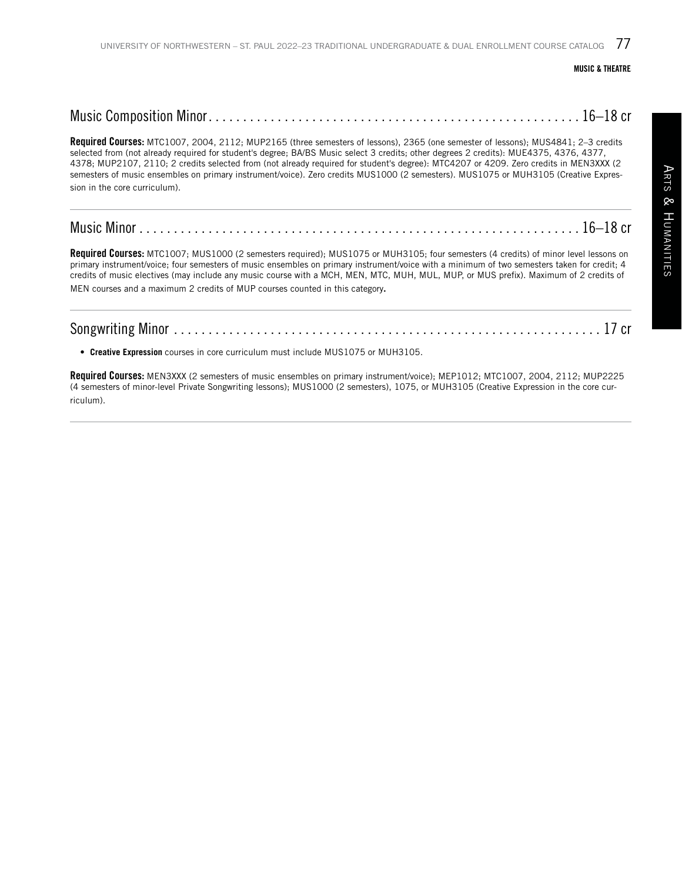Required Courses: MTC1007, 2004, 2112; MUP2165 (three semesters of lessons), 2365 (one semester of lessons); MUS4841; 2-3 credits selected from (not already required for student's degree; BA/BS Music select 3 credits; other degrees 2 credits): MUE4375, 4376, 4377, 4378; MUP2107, 2110; 2 credits selected from (not already required for student's degree): MTC4207 or 4209. Zero credits in MEN3XXX (2 semesters of music ensembles on primary instrument/voice). Zero credits MUS1000 (2 semesters). MUS1075 or MUH3105 (Creative Expression in the core curriculum).

Required Courses: MTC1007; MUS1000 (2 semesters required); MUS1075 or MUH3105; four semesters (4 credits) of minor level lessons on primary instrument/voice; four semesters of music ensembles on primary instrument/voice with a minimum of two semesters taken for credit; 4 credits of music electives (may include any music course with a MCH, MEN, MTC, MUH, MUL, MUP, or MUS prefix). Maximum of 2 credits of MEN courses and a maximum 2 credits of MUP courses counted in this category.

• **Creative Expression** courses in core curriculum must include MUS1075 or MUH3105.

Required Courses: MEN3XXX (2 semesters of music ensembles on primary instrument/voice); MEP1012; MTC1007, 2004, 2112; MUP2225 (4 semesters of minor-level Private Songwriting lessons); MUS1000 (2 semesters), 1075, or MUH3105 (Creative Expression in the core curriculum).